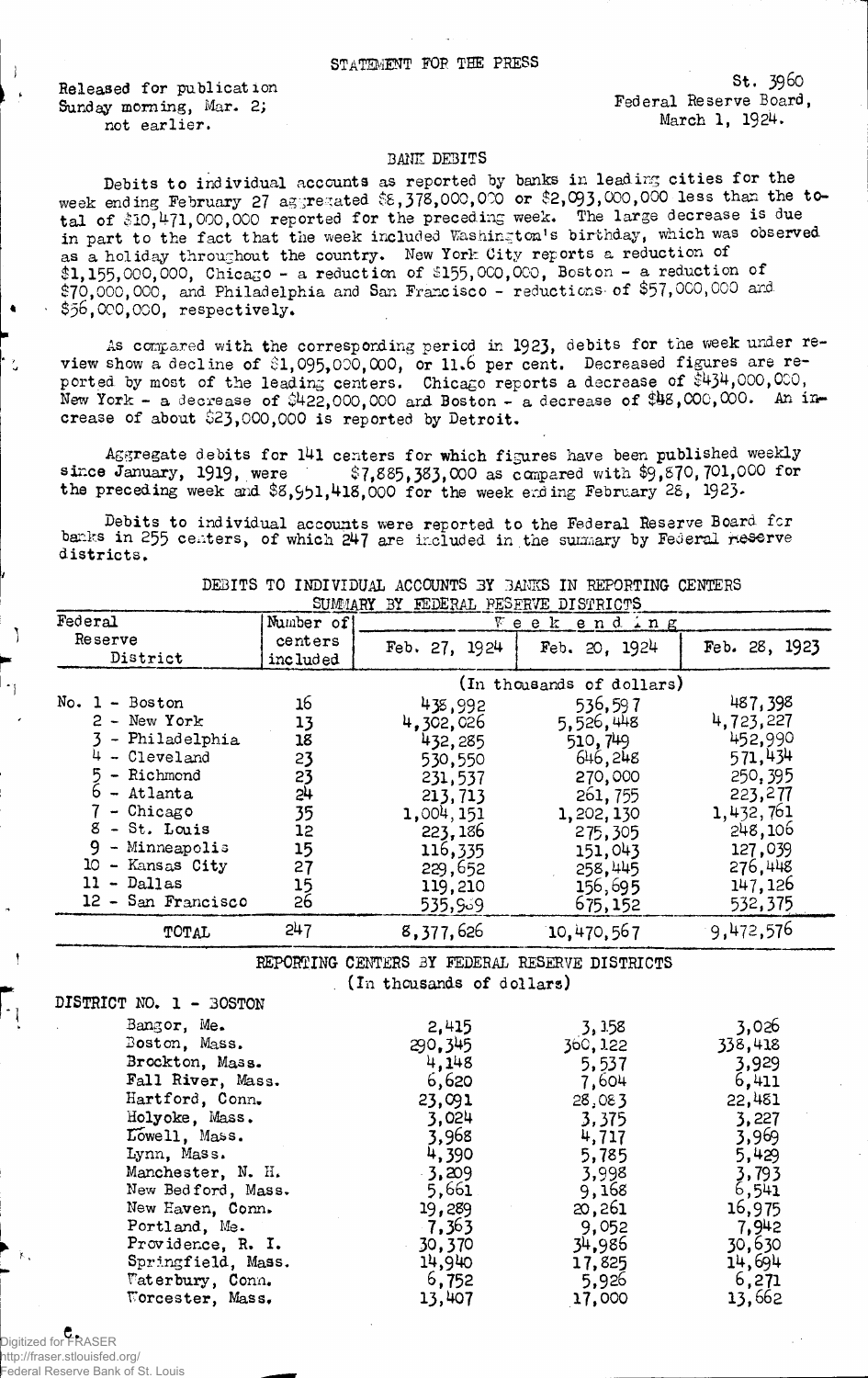**Released for publication Sunday morning, Mar. 2; not earlier.**

Federal Reserve Board, March 1, 1924. S t. **3960**

## BANE DEBITS

Debits to individual accounts as reported by banks in leading cities for the week ending February **27** ag;rerated **\$8,378,000,000** or **\$2,093,000,000** less than the total of \$10,471,000,000 reported for the preceding week. The large decrease is due in part to the fact that the week included Washington's birthday, which was observed as a holiday throughout the country. New York City reports a reduction of **\$1,155,000,000,** Chicago - a reduction of **\$155,000,000,** Boston - a reduction of **\$70,000,000,** and Philadelphia and San Francisco - reductions-of **\$57,000,000** and. **\$**56**,** 000**,**000**,** respectively.

As compared with the corresponding period in 1923, debits for the week under review show a decline of \$1,095,000,000, or 11.6 per cent. Decreased figures are reported by most of the leading centers. Chicago reports a decrease of  $$434,000,000$ , New York - a decrease of \$422,000,000 and Boston - a decrease of \$48,000,000. An increase of about **\$**23**,** 000,000 is reported by Detroit.

Aggregate debits for 141 centers for which figures have been published weekly since January, 1919, were  $$7,885,383,000$  as compared with \$9,870,701,000 for sir-ce January, 1919**,** were **\$7,885,383,000** as canpared with **\$**9 **,** 870**,** 701,000 for the preceding week **and \$8,951,418,000** for the week **ending** February **28,** 1923**.**

Debits to individual accounts were reported to the Federal Reserve Board fcr banks in 255 centers, of which 247 are included in the summary by Federal Reserve districts.

| Federal                                                                                                                                                                                 | Number of                                                      | Week end ing                                                                                                              |                                                                                                                             |                                                                                                                            |
|-----------------------------------------------------------------------------------------------------------------------------------------------------------------------------------------|----------------------------------------------------------------|---------------------------------------------------------------------------------------------------------------------------|-----------------------------------------------------------------------------------------------------------------------------|----------------------------------------------------------------------------------------------------------------------------|
| Reserve<br>District                                                                                                                                                                     | centers<br>included                                            | Feb. 27, 1924                                                                                                             | Feb. $20.1924$                                                                                                              | Feb. 28, 1923                                                                                                              |
|                                                                                                                                                                                         |                                                                |                                                                                                                           | (In thousands of dollars)                                                                                                   |                                                                                                                            |
| $No. 1 - Boston$<br>$2 - New York$<br>- Philadelphia<br>- Cleveland<br>- Richmond<br>- Atlanta<br>- Chicago<br>$8 - St.$ Louis<br>- Minneapolis<br>10<br>- Kansas City<br>$11 - Dallas$ | 16<br>13<br>18<br>23<br>23<br>24<br>35<br>12<br>15<br>27<br>15 | 435,992<br>4,302,026<br>432,285<br>530,550<br>231,537<br>213,713<br>1,004,151<br>223,186<br>116,335<br>229,652<br>119,210 | 536,597<br>5,526,448<br>510, 749<br>646,248<br>270,000<br>261, 755<br>1,202,130<br>275,305<br>151,043<br>258,445<br>156,695 | 487,398<br>4,723,227<br>452,990<br>571,434<br>250, 395<br>223,277<br>1,432,761<br>248,106<br>127,039<br>276,448<br>147,126 |
| 12 - San Francisco                                                                                                                                                                      | 26                                                             | 535,939                                                                                                                   | 675,152                                                                                                                     | 532,375                                                                                                                    |
| TOTAL                                                                                                                                                                                   | 247                                                            | 8,377,626                                                                                                                 | 10,470,567                                                                                                                  | 9,472,576                                                                                                                  |

DEBITS TO INDIVIDUAL ACCOUNTS 3Y BANKS IN REPORTING CENTERS  $SUIMMARY$  *BY FEDERAL PESERVE DISTRICTS* 

> REPORTING CENTERS 3Y FEDERAL RESERVE DISTRICTS (In thousands of dollars)

DISTRICT NO. 1 - BOSTON

J.

| Bangor, Me.        | 2,415   | 3, 158   | 3,026   |
|--------------------|---------|----------|---------|
| Boston, Mass.      | 290,345 | 360, 122 | 338,418 |
| Brockton, Mass.    | 4,148   | 5,537    | 3,929   |
| Fall River, Mass.  | 6,620   | 7,604    | 6,411   |
| Hartford, Conn.    | 23,091  | 28,083   | 22,481  |
| Holyoke, Mass.     | 3.024   | 3,375    | 3,227   |
| Lowell, Mass.      | 3,968   | 4,717    | 3,969   |
| Lynn, Mass.        | 4,390   | 5,785    | 5,429   |
| Manchester, N. H.  | 3,209   | 3,998    | 3,793   |
| New Bedford, Mass. | 5,661   | 9,168    | 6,541   |
| New Haven, Conn.   | 19,289  | 20,261   | 16,975  |
| Portland, Me.      | 7,363   | 9,052    | 7.942   |
| Providence, R. I.  | 30,370  | 34,986   | 30,630  |
| Springfield, Mass. | 14,940  | 17,825   | 14,694  |
| Waterbury, Conn.   | 6,752   | 5,926    | 6,271   |
| Worcester, Mass.   | 13,407  | 17,000   | 13,662  |

C. Digitized for FRASER http://fraser.stlouisfed.org/ Federal Reserve Bank of St. Louis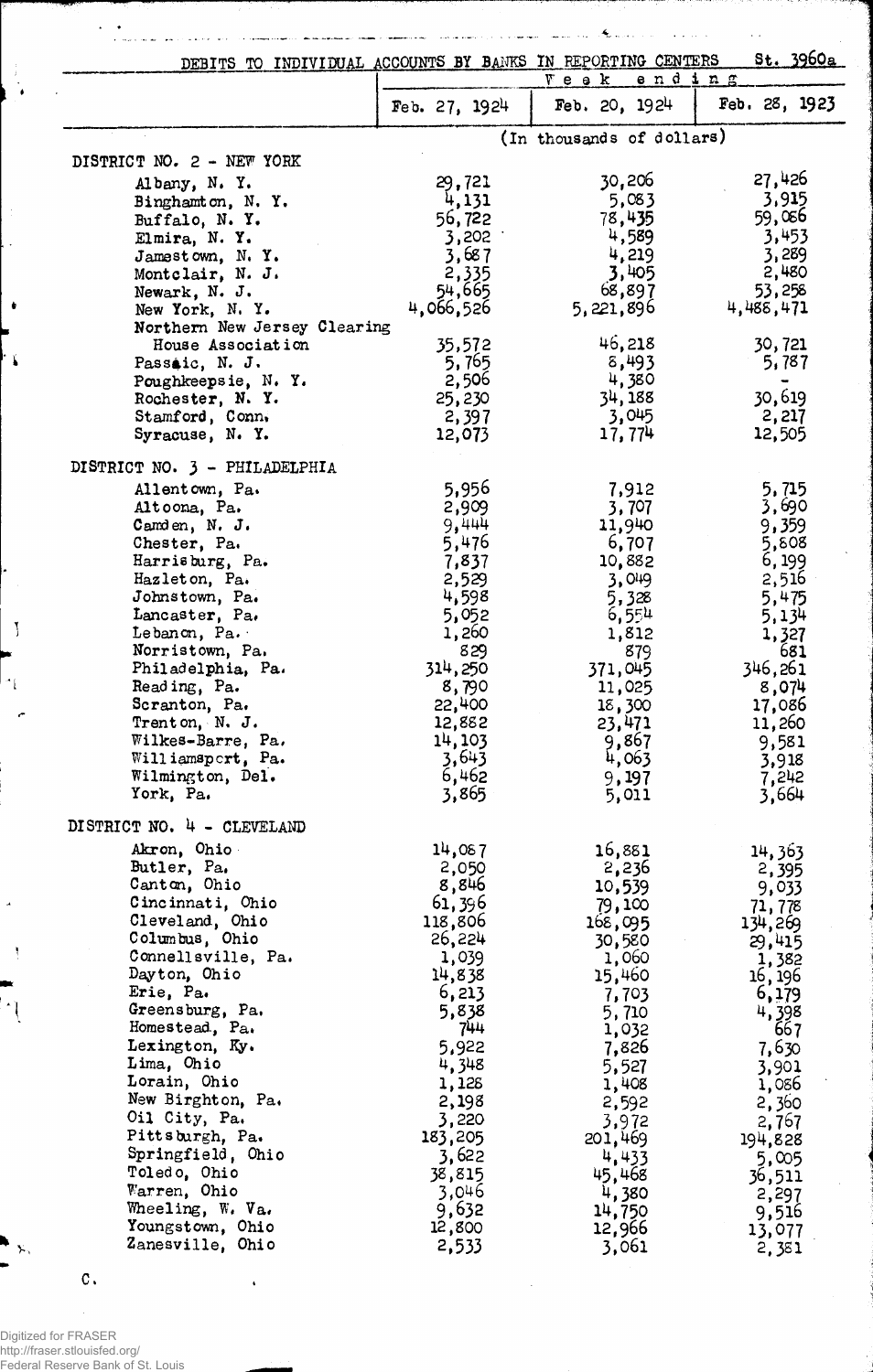| DEBITS TO INDIVIDUAL ACCOUNTS BY BANKS IN REPORTING CENTERS |                   |                              | St. 3960a                |
|-------------------------------------------------------------|-------------------|------------------------------|--------------------------|
|                                                             |                   | <u>ending</u><br>$V$ e e $k$ |                          |
|                                                             | Feb. $27, 1924$   | Feb. $20, 1924$              | Feb. $28, 1923$          |
|                                                             |                   | (In thousands of dollars)    |                          |
| DISTRICT NO. 2 - NEW YORK                                   |                   | 30,206                       | 27,426                   |
| Albany, N. Y.<br>Binghamton, N.Y.                           | 29,721<br>4,131   | 5,083                        | 3,915                    |
| Buffalo, N. Y.                                              | 56,722            | 78,435                       | 59,066                   |
| Elmira, N.Y.                                                | 3,202             | 4,589                        | 3,453                    |
| Jamestown, N.Y.                                             | 3,687             | 4,219                        | 3,289                    |
| Montclair, N. J.                                            | 2,335<br>54,665   | 3,405                        | 2,480<br>53,258          |
| Newark, N. J.<br>New York, N.Y.                             | 4,066,526         | 68,897<br>5,221,896          | 4,488,471                |
| Northern New Jersey Clearing                                |                   |                              |                          |
| House Association                                           | 35,572            | 46,218                       | 30,721                   |
| Passaic, N. J.                                              | 5,765             | 8,493                        | 5,787                    |
| Poughkeepsie, N.Y.<br>Rochester, N. Y.                      | 2,506<br>25,230   | 4,380<br>34, 188             | $\blacksquare$<br>30,619 |
| Stamford, Conn.                                             | 2,397             | 3,045                        | 2,217                    |
| Syracuse, N. Y.                                             | 12,073            | 17,774                       | 12,505                   |
| DISTRICT NO. 3 - PHILADELPHIA                               |                   |                              |                          |
| Allentown, Pa.                                              | 5,956             | 7,912                        | 5,715                    |
| Altoona, Pa.                                                | 2,909             | 3,707                        | 3,690                    |
| Camden, $N$ . $J$ .                                         | 9,444             | 11,940                       | 9,359                    |
| Chester, Pa.                                                | 5,476             | 6,707                        | 5,808                    |
| Harrisburg, Pa.<br>Hazleton, Pa.                            | 7,837<br>2,529    | 10,882<br>3,049              | 6, 199<br>2,516          |
| Johnstown, Pa.                                              | 4,598             | 5,328                        | 5,475                    |
| Lancaster, Pa.                                              | 5,052             | 6,554                        | 5,134                    |
| Lebanon, Pa.                                                | 1,260             | 1,812                        | 1,327                    |
| Norristown, Pa.<br>Philadelphia, Pa.                        | 829<br>314,250    | 879<br>371,045               | 681<br>346,261           |
| Reading, Pa.                                                | 8,790             | 11,025                       | 8,074                    |
| Scranton, Pa.                                               | 22,400            | 18,300                       | 17,086                   |
| Trenton, N. J.                                              | 12,882            | 23,471                       | 11,260                   |
| Wilkes-Barre, Pa.                                           | 14,103            | 9,867                        | 9,581                    |
| Williamsport, Pa.<br>Wilmington, Del.                       | 3,643<br>6,462    | 4,063<br>9,197               | 3,918<br>7,242           |
| York, Pa.                                                   | 3,865             | 5,011                        | 3,664                    |
| DISTRICT NO. 4 - CLEVELAND                                  |                   |                              |                          |
| Akron, Ohio                                                 | 14,087            | 16,881                       | 14,363                   |
| Butler, Pa.                                                 | 2,050             | 2,236                        | 2,395                    |
| Canton, Ohio                                                | 8,846             | 10,539                       | 9,033                    |
| Cincinnati, Ohio<br>Cleveland, Ohio                         | 61,396            | 79,100                       | 71,778                   |
| Columbus, Ohio                                              | 118,806<br>26,224 | 168,095<br>30,580            | 134,269<br>29,415        |
| Connellsville, Pa.                                          | 1,039             | 1,060                        | 1,382                    |
| Dayton, Ohio                                                | 14,838            | 15,460                       | 16, 196                  |
| Erie, Pa.                                                   | 6,213             | 7,703                        | 6,179                    |
| Greensburg, Pa.<br>Homestead, Pa.                           | 5,838<br>744      | 5,710<br>1,032               | 4,398<br>667             |
| Lexington, Ky.                                              | 5,922             | 7,826                        | 7,630                    |
| Lima, Chio                                                  | 4,348             | 5,527                        | 3,901                    |
| Lorain, Ohio                                                | 1,128             | 1,408                        | 1,086                    |
| New Birghton, Pa.<br>Oil City, Pa.                          | 2,198<br>3,220    | 2,592                        | 2,360                    |
| Pittsburgh, Pa.                                             | 183,205           | 3,972<br>201,469             | 2,767<br>194,828         |
| Springfield, Ohio                                           | 3,622             | 4,433                        | 5,005                    |
| Toledo, Ohio                                                | 38,815            | 45,468                       | 36,511                   |
| Warren, Ohio                                                | 3,046             | 4,380                        | 2,297                    |
| Wheeling, W. Va.<br>Youngstown, Ohio                        | 9,632<br>12,800   | 14,750<br>12,966             | 9,516                    |
| Zanesville, Ohio                                            | 2,533             | 3,061                        | 13,077<br>2,381          |

 $\mathcal{A}_{\mathrm{max}}$ 

 $\ddot{\phantom{a}}$  $\bar{z}$ 

 $\ddot{\phantom{a}}$ i.

للمحمد  $\ddotsc$ 

 $\mathbb{R}^2$ 

L.

Digitized for FRASER http://fraser.stlouisfed.org/ Federal Reserve Bank of St. Louis

 $\mathbf{C}$  .

ł

 $\ddot{\phantom{0}}$  $\frac{1}{\sqrt{2}}$ 

 $\frac{1}{4}$ ۱,

 $\bullet$ 

់រ

 $\mathcal{I}$ 

 $\gamma$ 

 $\left| \cdot \right|$ 

У.

 $\sim$  $\ddot{\phantom{a}}$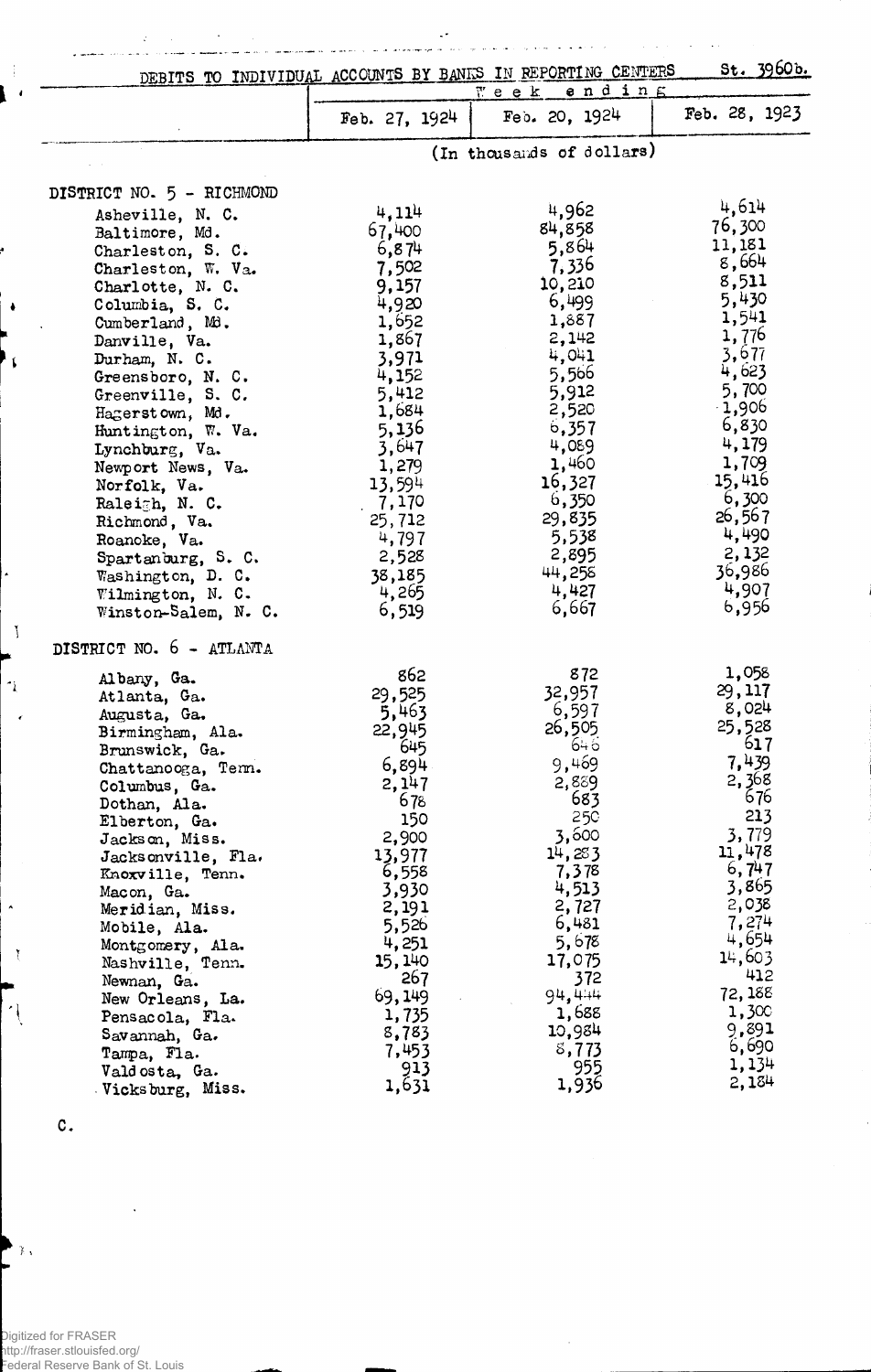|                                                                                                                                                                                                                                                                                                                                                                                                                                                                       |                                                                                                                                                                                                               | DEBITS TO INDIVIDUAL ACCOUNTS BY BANKS IN REPORTING CENTERS<br>$end$ in $E$<br>T e e k                                                                                                                         | st. 3960b.                                                                                                                                                                                                         |
|-----------------------------------------------------------------------------------------------------------------------------------------------------------------------------------------------------------------------------------------------------------------------------------------------------------------------------------------------------------------------------------------------------------------------------------------------------------------------|---------------------------------------------------------------------------------------------------------------------------------------------------------------------------------------------------------------|----------------------------------------------------------------------------------------------------------------------------------------------------------------------------------------------------------------|--------------------------------------------------------------------------------------------------------------------------------------------------------------------------------------------------------------------|
|                                                                                                                                                                                                                                                                                                                                                                                                                                                                       | Feb. $27, 1924$                                                                                                                                                                                               | Feb. 20, 1924                                                                                                                                                                                                  | Feb. 28, 1923                                                                                                                                                                                                      |
|                                                                                                                                                                                                                                                                                                                                                                                                                                                                       |                                                                                                                                                                                                               | (In thousands of dollars)                                                                                                                                                                                      |                                                                                                                                                                                                                    |
| DISTRICT NO. 5 - RICHMOND                                                                                                                                                                                                                                                                                                                                                                                                                                             |                                                                                                                                                                                                               |                                                                                                                                                                                                                |                                                                                                                                                                                                                    |
| Asheville, N. C.<br>Baltimore, Md.<br>Charleston, S. C.<br>Charleston, W. Va.<br>Charlotte, N. C.<br>Columbia, S. C.<br>Cumberland, Md.<br>Danville, Va.<br>Durham, N. C.<br>Greensboro, N. C.<br>Greenville, S. C.<br>Hagerstown, Md.<br>Huntington, W. Va.<br>Lynchburg, Va.<br>Newport News, Va.<br>Norfolk, Va.<br>Raleigh, N. C.<br>Richmond, Va.<br>Roanoke, Va.<br>Spartanburg, S. C.<br>Washington, D. C.                                                     | 4,114<br>67,400<br>6,874<br>7,502<br>9,157<br>4,920<br>1,652<br>1,867<br>3,971<br>4,152<br>5,412<br>1,684<br>5,136<br>3,647<br>1,279<br>13,594<br>7,170<br>25,712<br>4,797<br>2,528<br>38,185                 | 4,962<br>84,858<br>5,864<br>7,336<br>10,210<br>6,499<br>1,887<br>2,142<br>4,041<br>5,566<br>5,912<br>2,520<br>6,357<br>4,089<br>1,460<br>16,327<br>6,350<br>29,835<br>5,538<br>2,895<br>44,258                 | 4,614<br>76,300<br>11,181<br>8,664<br>8,511<br>5,430<br>1,541<br>1,776<br>3,677<br>4,623<br>5,700<br>$-1,906$<br>6,830<br>4,179<br>1,709<br>15,416<br>6,300<br>26,567<br>4,490<br>2,132<br>36,986                  |
| Wilmington, N. C.<br>Winston-Salem, N. C.                                                                                                                                                                                                                                                                                                                                                                                                                             | 4,265<br>6,519                                                                                                                                                                                                | 4,427<br>6,667                                                                                                                                                                                                 | 4,907<br>6,956                                                                                                                                                                                                     |
| DISTRICT NO. 6 - ATLANTA<br>Albany, Ga.<br>Atlanta, Ga.<br>Augusta, Ga.<br>Birmingham, Ala.<br>Brunswick, Ga.<br>Chattanooga, Term.<br>Columbus, Ga.<br>Dothan, Ala.<br>Elberton, Ga.<br>Jackson, Miss.<br>Jacksonville, Fla.<br>Knoxville, Tenn.<br>Macon, Ga.<br>Meridian, Miss.<br>Mobile, Ala.<br>Montgomery, Ala.<br>Nashville, Tenn.<br>Newnan, Ga.<br>New Orleans, La.<br>Pensacola, Fla.<br>Savannah, Ga.<br>Tampa, Fla.<br>Valdosta, Ga.<br>Vicksburg, Miss. | 862<br>29,525<br>5,463<br>22,945<br>645<br>6,894<br>2,147<br>678<br>150<br>2,900<br>13,977<br>6,558<br>3,930<br>2,191<br>5,526<br>4,251<br>15,140<br>267<br>69,149<br>1,735<br>8,783<br>7,453<br>913<br>1,631 | 872<br>32,957<br>6,597<br>26,505<br>646<br>9,469<br>2,889<br>683<br>25C<br>3,600<br>14,283<br>7,378<br>4,513<br>2,727<br>6,481<br>5,678<br>17,075<br>372<br>94,444<br>1,688<br>10,984<br>8,773<br>955<br>1,936 | 1,058<br>29,117<br>8,024<br>25,528<br>617<br>7,439<br>2,368<br>676<br>213<br>3,779<br>11,478<br>6,747<br>3,865<br>2,038<br>7,274<br>4,654<br>14,603<br>412<br>72, 188<br>1,300<br>9,891<br>6,690<br>1,134<br>2,184 |

 $\bar{z}$ 

C.

 $\mathcal{I}$ J  $\overline{a}$ 

 $\frac{1}{2}$  $\pmb{\cdot}$ 

 $\blacklozenge$ 

 $\tilde{\mathbf{L}}$ 

 $\mathcal{L}$ 

 $\gamma$ 

 $\blacktriangle$ 

 $\mathfrak{r}$ 

 $\left| \cdot \right|$ 

 $\mathbf{F}$ 

 $\epsilon$ 

Digitized for FRASER http://fraser.stlouisfed.org/ Federal Reserve Bank of St. Louis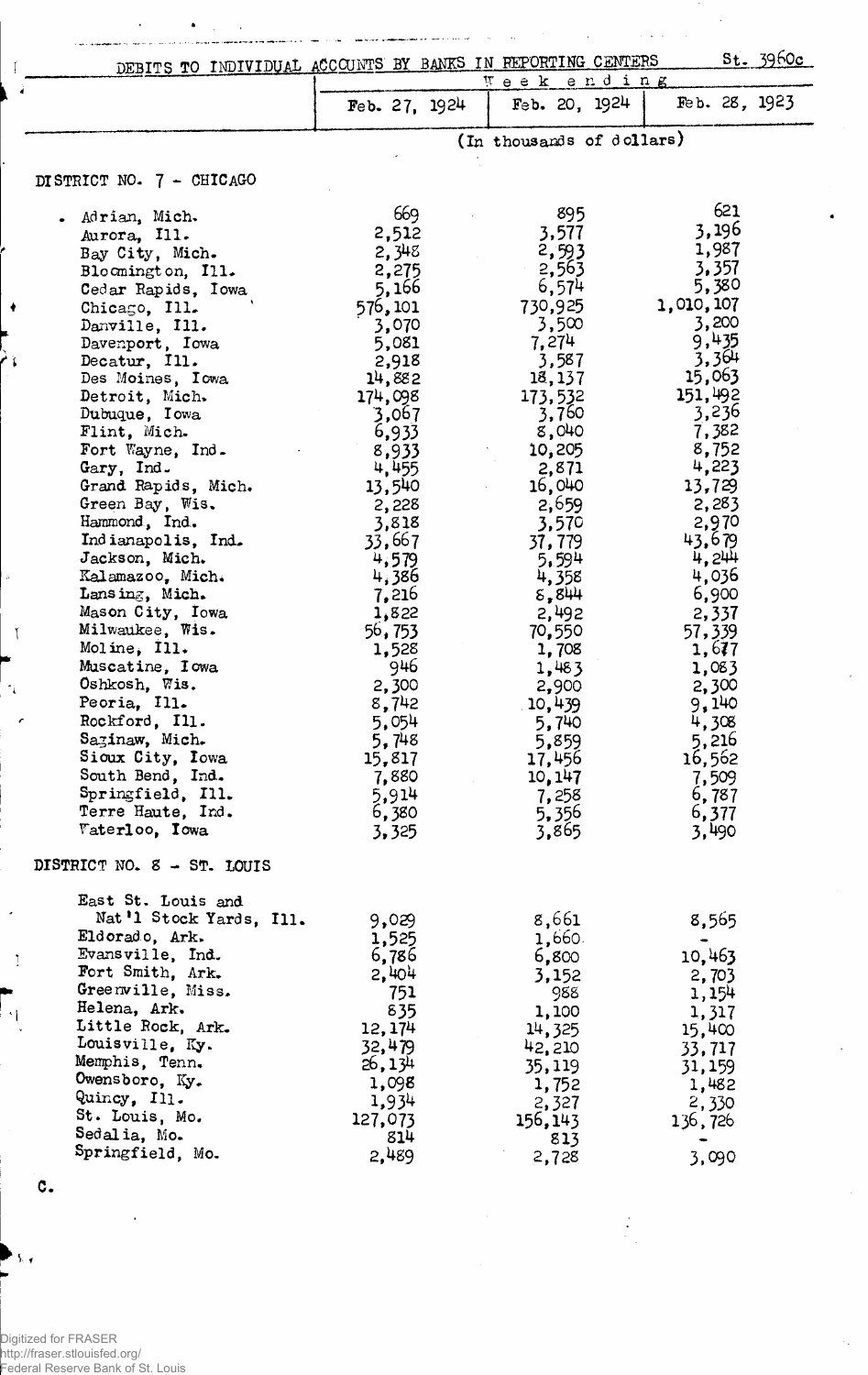|                      | DEBITS TO INDIVIDUAL ACCOUNTS BY BANKS IN REPORTING CENTERS |                | Week ending               |                 | St. 3960c |
|----------------------|-------------------------------------------------------------|----------------|---------------------------|-----------------|-----------|
|                      |                                                             | Feb. $27.1924$ | Feb. 20, 1924             | Feb. 28, 1923   |           |
|                      |                                                             |                | (In thousands of dollars) |                 |           |
|                      | DISTRICT NO. 7 - CHICAGO                                    |                |                           |                 |           |
|                      | . Adrian, Mich.                                             | 669            | 895                       | 621             |           |
|                      | Aurora, Ill.                                                | 2,512          | 3,577                     | 3,196           |           |
|                      | Bay City, Mich.                                             | 2,348          | 2,593                     | 1,987           |           |
|                      | Bloomington, Ill.                                           | 2,275          | 2,563                     | 3,357           |           |
|                      | Cedar Rapids, Iowa                                          | 5,166          | 6,574                     | 5,380           |           |
|                      | Chicago, Ill.                                               | 576,101        | 730,925                   | 1,010,107       |           |
|                      | Danville, Ill.                                              | 3,070          | 3,500                     | 3,200           |           |
|                      | Davenport, Iowa                                             | 5,081          | 7,274                     | 9,435           |           |
|                      | Decatur, Ill.                                               | 2,918          | 3,587                     | 3,364           |           |
|                      | Des Moines, Iowa                                            | 14,882         | 18,137                    | 15,063          |           |
|                      | Detroit, Mich.                                              | 174,098        | 173,532                   | 151,492         |           |
|                      | Dubuque, Iowa                                               | 3,067          | 3,760                     | 3,236           |           |
|                      | Flint, Mich-                                                | 6,933          | 8,040                     | 7,382           |           |
|                      | Fort Wayne, Ind.                                            | 8,933          | 10,205                    | 8,752           |           |
|                      | Gary, Ind.                                                  | 4,455          | 2,871                     | 4,223           |           |
|                      | Grand Rapids, Mich.                                         | 13,540         | 16,040                    | 13,729          |           |
|                      | Green Bay, Wis.<br>Hammond, Ind.                            | 2,228          | 2,659                     | 2,283           |           |
|                      | Indianapolis, Ind.                                          | 3,818          | 3,570                     | 2,970<br>43.679 |           |
|                      | Jackson, Mich.                                              | 33,667         | 37,779                    | 4,244           |           |
|                      | Kalamazoo, Mich.                                            | 4,579<br>4,386 | 5,594<br>4,358            | 4,036           |           |
|                      | Lansing, Mich.                                              | 7,216          | 5,844                     | 6,900           |           |
|                      | Mason City, Iowa                                            | 1,822          | 2,492                     | 2,337           |           |
|                      | Milwaukee, Wis.                                             | 56,753         | 70,550                    | 57,339          |           |
|                      | Moline, Ill.                                                | 1,528          | 1,708                     | 1,677           |           |
|                      | Muscatine, Iowa                                             | 946            | 1,483                     | 1,083           |           |
| $\gamma_{\tilde{t}}$ | Oshkosh, Wis.                                               | 2,300          | 2,900                     | 2,300           |           |
|                      | Peoria, Ill.                                                | 8,742          | 10,439                    | 9,140           |           |
|                      | Rockford. Ill.                                              | 5,054          | 5,740                     | 4,308           |           |
|                      | Sazinaw, Mich.                                              | 5,748          | 5,859                     | 5,216           |           |
|                      | Sioux City, Iowa                                            | 15,817         | 17,456                    | 16,562          |           |
|                      | South Bend, Ind.                                            | 7,880          | 10, 147                   | 7,509           |           |
|                      | Springfield, Ill.                                           | 5,914          | 7,258                     | 6,787           |           |
|                      | Terre Haute, Ind.                                           | 6,380          | 5,356                     | 6,377           |           |
|                      | <b><i><u>Faterloo</u></i></b> , Iowa                        | 3,325          | 3,865                     | 3,490           |           |
|                      | DISTRICT NO. 8 - ST. LOUIS                                  |                |                           |                 |           |
|                      | East St. Louis and                                          |                |                           |                 |           |
|                      | Nat'l Stock Yards, Ill.                                     | 9,029          | 8,661                     | 8,565           |           |
|                      | Eldorado, Ark.                                              | 1,525          | 1,660.                    |                 |           |
| Ţ                    | Evansville, Ind.                                            | 6,786          | 6,800                     | 10,463          |           |
|                      | Fort Smith, Ark.                                            | 2,404          | 3,152                     | 2,703           |           |
|                      | Greenville, Miss.                                           | 751            | 988                       | 1,154           |           |
|                      | Helena, Ark.<br>Little Rock, Ark.                           | 835            | 1,100                     | 1,317           |           |
|                      | Louisville, Ky.                                             | 12, 174        | 14,325                    | 15,400          |           |
|                      | Memphis, Tenn.                                              | 32,479         | 42,210                    | 33,717          |           |
|                      | Owensboro, Ky.                                              | 26, 134        | 35,119                    | 31,159          |           |
|                      | Quincy, Ill.                                                | 1,098          | 1,752                     | 1,482           |           |
|                      | St. Louis, Mo.                                              | 1,934          | 2,327                     | 2,330           |           |
|                      | Sedalia, Mo.                                                | 127,073<br>814 | 156, 143                  | 136,726         |           |
|                      | Springfield, Mo.                                            | 2,489          | 813                       |                 |           |
|                      |                                                             |                | 2,728                     | 3,090           |           |
| c.                   |                                                             |                |                           |                 |           |

 $\ddot{\cdot}$ 

 $\ddot{\phantom{0}}$ 

 $\hat{\mathcal{A}}$ 

 $\overline{\phantom{a}}$ 

Digitized for FRASER http://fraser.stlouisfed.org/ Federal Reserve Bank of St. Louis

 $\mathbf{A}$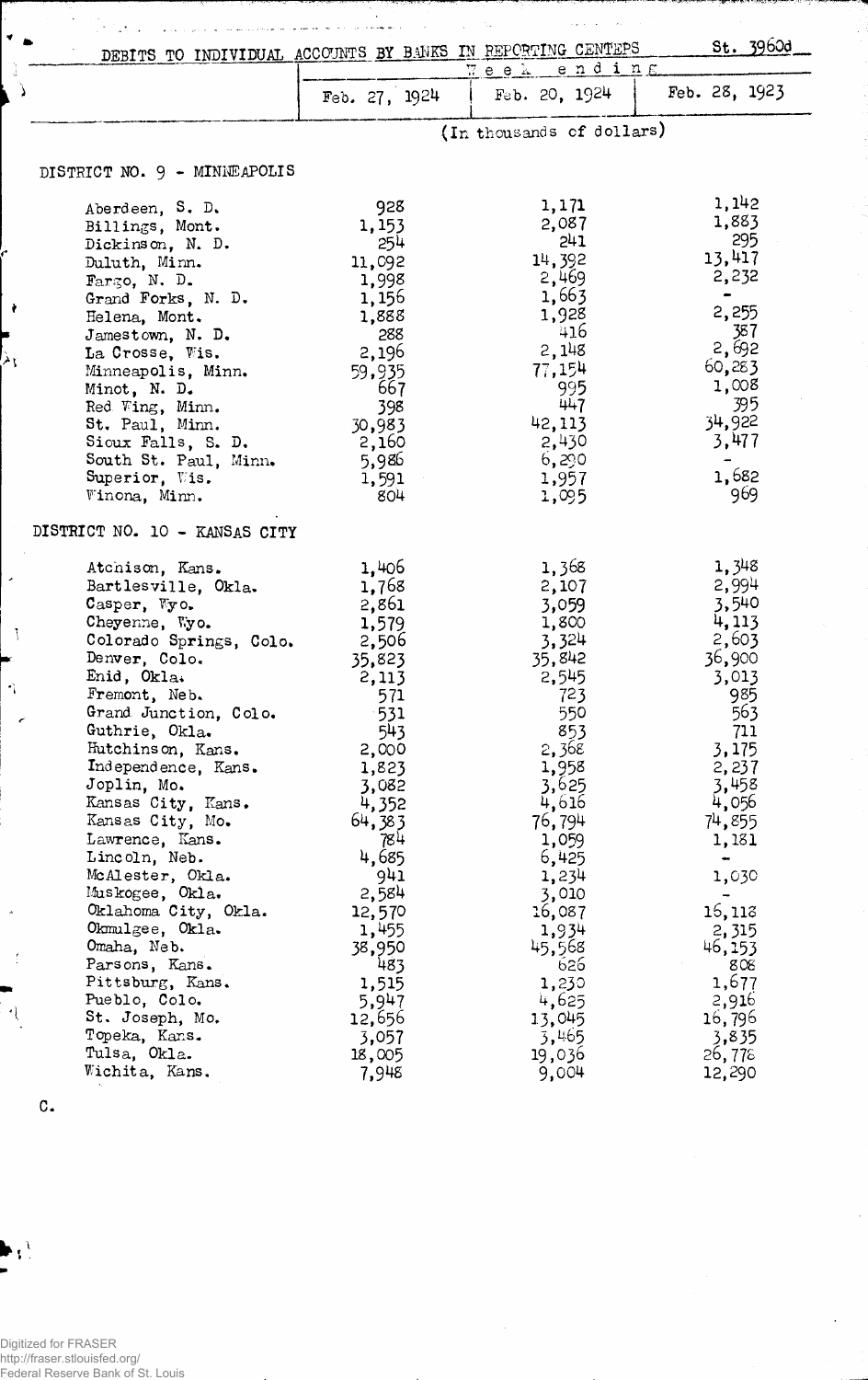|          | DEBITS TO INDIVIDUAL ACCOUNTS BY BANKS IN REPORTING CENTEPS |               |                           | st. 3960d                    |  |
|----------|-------------------------------------------------------------|---------------|---------------------------|------------------------------|--|
|          |                                                             | Week ending   |                           |                              |  |
|          |                                                             | Feb. 27, 1924 | Feb. 20, 1924             | Feb. 28, 1923                |  |
|          |                                                             |               | (In thousands of dollars) |                              |  |
|          | DISTRICT NO. 9 - MINNEAPOLIS                                |               |                           |                              |  |
|          | Aberdeen, S. D.                                             | 928           | 1,171                     | 1,142                        |  |
|          |                                                             | 1,153         | 2,087                     | 1,883                        |  |
|          | Billings, Mont.                                             |               | 241                       | 295                          |  |
|          | Dickinson, N. D.                                            | 254           | 14,392                    | 13,417                       |  |
|          | Duluth, Minn.                                               | 11,092        |                           | 2,232                        |  |
|          | Fargo, N. D.                                                | 1,998         | 2,469                     | $\qquad \qquad \blacksquare$ |  |
| ÷        | Grand Forks, N. D.                                          | 1,156         | 1,663                     |                              |  |
|          | Helena, Mont.                                               | 1,888         | 1,928                     | 2,255                        |  |
|          | Jamestown, N. D.                                            | 288           | 416                       | 387                          |  |
| Àţ       | La Crosse, Wis.                                             | 2,196         | 2,148                     | 2,692                        |  |
|          | Minneapolis, Minn.                                          | 59,935        | 77,154                    | 60,283                       |  |
|          | Minot, N. D.                                                | 667           | 995                       | 1,008                        |  |
|          | Red Wing, Minn.                                             | 398           | 447                       | 395                          |  |
|          | St. Paul, Minn.                                             | 30,983        | 42,113                    | 34,922                       |  |
|          | Sioux Falls, S. D.                                          | 2,160         | 2,430                     | 3,477                        |  |
|          | South St. Paul, Minn.                                       | 5,986         | 6,290                     |                              |  |
|          | Superior, Wis.                                              | 1,591         | 1,957                     | 1,682                        |  |
|          | Winona, Minn.                                               | 804           | 1,095                     | 969                          |  |
|          | DISTRICT NO. 10 - KANSAS CITY                               |               |                           |                              |  |
|          | Atchison, Kans.                                             | 1,406         | 1,368                     | 1,348                        |  |
|          | Bartlesville, Okla.                                         | 1,768         | 2,107                     | 2,994                        |  |
|          | Casper, Wyo.                                                | 2,861         | 3,059                     | 3,540                        |  |
|          | Cheyenne, Wyo.                                              | 1,579         | 1,800                     | 4,113                        |  |
|          | Colorado Springs, Colo.                                     | 2,506         | 3,324                     | 2,603                        |  |
|          | Denver, Colo.                                               | 35,823        | 35,842                    | 36,900                       |  |
|          | Enid, Okla.                                                 | 2,113         | 2,545                     | 3,013                        |  |
| $\gamma$ | Fremont, Neb.                                               | 571           | 723                       | 985                          |  |
|          | Grand Junction, Colo.                                       | $-531$        | 550                       | 563                          |  |
| e        | Guthrie, Okla.                                              | 543           | 853                       | 711                          |  |
|          | Hutchinson, Kans.                                           | 2,000         | 2,368                     | 3,175                        |  |
|          | Independence, Kans.                                         | 1,823         | 1,958                     | 2,237                        |  |
|          | Joplin, Mo.                                                 | 3,082         | 3,625                     | 3,458                        |  |
|          | Kansas City, Kans.                                          | 4,352         | 4,616                     | 4,056                        |  |
|          | Kansas City, Mo.                                            | 64,383        | 76,794                    | 74,855                       |  |
|          | Lawrence, Kans.                                             | 784           | 1,059                     | 1,181                        |  |
|          | Lincoln, Neb.                                               | 4,685         | 6,425                     |                              |  |
|          | McAlester, Okla.                                            | 941           | 1,234                     | 1,030                        |  |
|          | Muskogee, Okla.                                             | 2,584         | 3,010                     | $\overline{\phantom{0}}$     |  |
|          | Oklahoma City, Okla.                                        | 12,570        | 16,087                    | 16,118                       |  |
|          | Okmulgee, Okla.                                             | 1,455         | 1,934                     | 2,315                        |  |
|          | Omaha, Neb.                                                 | 38,950        | 45,568                    | 46,153                       |  |
|          | Parsons, Kans.                                              | 483           | 626                       | 808                          |  |
|          | Pittsburg, Kans.                                            | 1,515         | 1,230                     | 1,677                        |  |
|          | Pueblo, Colo.                                               | 5,947         | 4,625                     | 2,916                        |  |
|          | St. Joseph, Mo.                                             | 12,656        | 13,045                    | 16,796                       |  |
|          | Topeka, Kans.                                               | 3,057         | 3,465                     | 3,835                        |  |
|          | Tulsa, Okla.                                                | 18,005        | 19,036                    | 26,775                       |  |
|          | Wichita, Kans.                                              | 7,948         | 9,004                     | 12,290                       |  |
|          |                                                             |               |                           |                              |  |

 $\ddot{\phantom{1}}$ 

 $\mathbf{r}$ Ļ.

والعارض والموالين

 $\overline{a}$ 

 $\hat{\mathbf{v}}$ 

Digitized for FRASER http://fraser.stlouisfed.org/ Federal Reserve Bank of St. Louis

 $\mathbf{C}$ .

 $\frac{1}{2}$